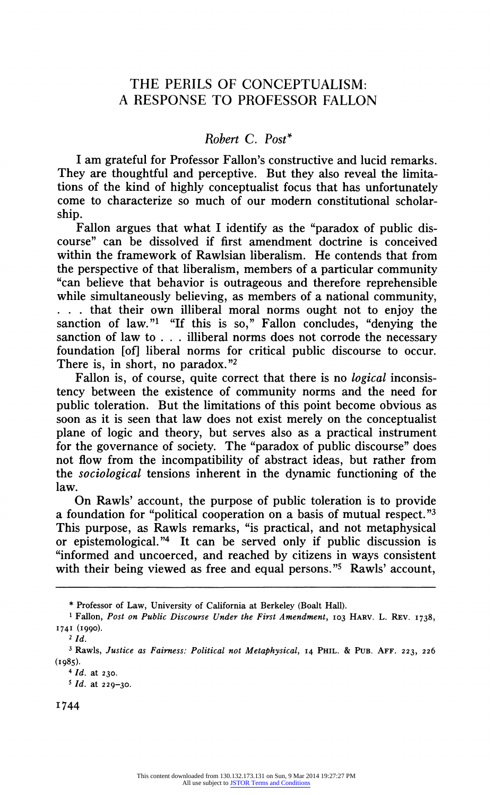## **THE PERILS OF CONCEPTUALISM: A RESPONSE TO PROFESSOR FALLON**

## **Robert C. Post\***

**I am grateful for Professor Fallon's constructive and lucid remarks. They are thoughtful and perceptive. But they also reveal the limitations of the kind of highly conceptualist focus that has unfortunately come to characterize so much of our modern constitutional scholarship.** 

**Fallon argues that what I identify as the "paradox of public discourse" can be dissolved if first amendment doctrine is conceived within the framework of Rawlsian liberalism. He contends that from the perspective of that liberalism, members of a particular community "can believe that behavior is outrageous and therefore reprehensible while simultaneously believing, as members of a national community, . . . that their own illiberal moral norms ought not to enjoy the sanction of law."' "If this is so," Fallon concludes, "denying the sanction of law to . . . illiberal norms does not corrode the necessary foundation [of] liberal norms for critical public discourse to occur. There is, in short, no paradox."2** 

**Fallon is, of course, quite correct that there is no logical inconsistency between the existence of community norms and the need for public toleration. But the limitations of this point become obvious as soon as it is seen that law does not exist merely on the conceptualist plane of logic and theory, but serves also as a practical instrument for the governance of society. The "paradox of public discourse" does not flow from the incompatibility of abstract ideas, but rather from the sociological tensions inherent in the dynamic functioning of the law.** 

**On Rawls' account, the purpose of public toleration is to provide a foundation for "political cooperation on a basis of mutual respect."3 This purpose, as Rawls remarks, "is practical, and not metaphysical or epistemological."4 It can be served only if public discussion is "informed and uncoerced, and reached by citizens in ways consistent with their being viewed as free and equal persons."5 Rawls' account,** 

**I744** 

**<sup>\*</sup> Professor of Law, University of California at Berkeley (Boalt Hall).** 

**<sup>1</sup> Fallon, Post on Public Discourse Under the First Amendment, 103 HARV. L. REV. 1738, 1741 (1990).** 

 $2$   $Id$ .

**<sup>3</sup> Rawls, Justice as Fairness: Political not Metaphysical, 14 PHIL. & PUB. AFF. 223, 226 (i 985).** 

**<sup>4</sup> Id. at 230.** 

**Id. at 229-30.**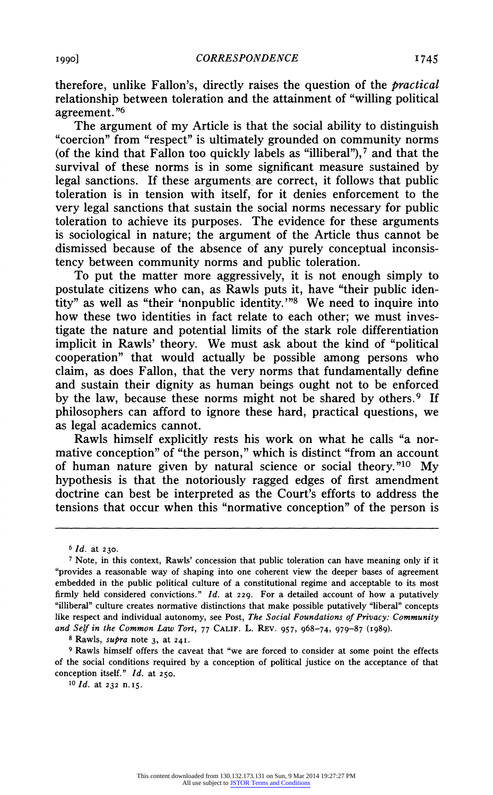**therefore, unlike Fallon's, directly raises the question of the practical relationship between toleration and the attainment of "willing political agreement. "6** 

**The argument of my Article is that the social ability to distinguish "coercion" from "respect" is ultimately grounded on community norms (of the kind that Fallon too quickly labels as "illiberal"),7 and that the survival of these norms is in some significant measure sustained by legal sanctions. If these arguments are correct, it follows that public toleration is in tension with itself, for it denies enforcement to the very legal sanctions that sustain the social norms necessary for public toleration to achieve its purposes. The evidence for these arguments is sociological in nature; the argument of the Article thus cannot be dismissed because of the absence of any purely conceptual inconsistency between community norms and public toleration.** 

**To put the matter more aggressively, it is not enough simply to postulate citizens who can, as Rawls puts it, have "their public identity" as well as "their 'nonpublic identity. "'8 We need to inquire into how these two identities in fact relate to each other; we must investigate the nature and potential limits of the stark role differentiation implicit in Rawls' theory. We must ask about the kind of "political cooperation" that would actually be possible among persons who claim, as does Fallon, that the very norms that fundamentally define and sustain their dignity as human beings ought not to be enforced by the law, because these norms might not be shared by others.9 If philosophers can afford to ignore these hard, practical questions, we as legal academics cannot.** 

**Rawls himself explicitly rests his work on what he calls "a normative conception" of "the person," which is distinct "from an account of human nature given by natural science or social theory. "10 My hypothesis is that the notoriously ragged edges of first amendment doctrine can best be interpreted as the Court's efforts to address the tensions that occur when this "normative conception" of the person is** 

**8 Rawls, supra note 3, at 241.** 

**9 Rawls himself offers the caveat that "we are forced to consider at some point the effects of the social conditions required by a conception of political justice on the acceptance of that conception itself." Id. at 250.** 

10 *Id.* at 232 n.15.

**<sup>6</sup> Id. at 230.** 

**<sup>7</sup> Note, in this context, Rawls' concession that public toleration can have meaning only if it "provides a reasonable way of shaping into one coherent view the deeper bases of agreement emnbedded in the public political culture of a constitutional regime and acceptable to its most firmly held considered convictions." Id. at 229. For a detailed account of how a putatively "illiberal" culture creates normative distinctions that make possible putatively "liberal" concepts like respect and individual autonomy, see Post, The Social Foundations of Privacy: Community and Self in the Common Law Tort, 77 CALIF. L. REV. 957, 968-74, 979-87 (i989).**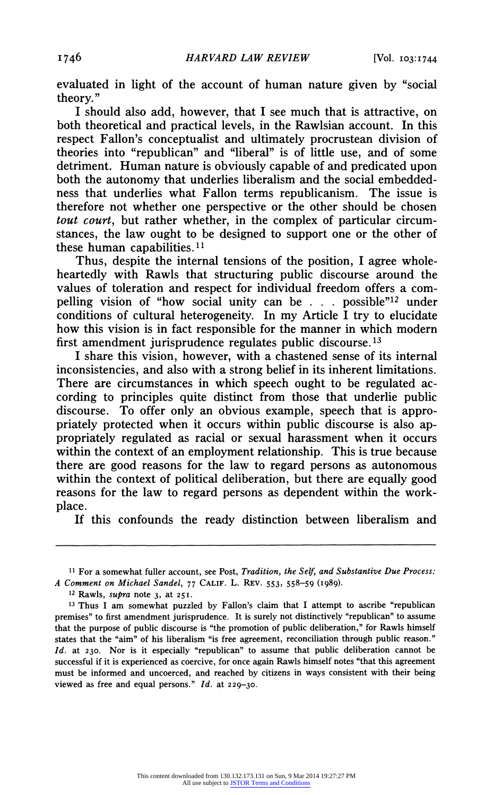**evaluated in light of the account of human nature given by "social theory. "** 

**I should also add, however, that I see much that is attractive, on both theoretical and practical levels, in the Rawlsian account. In this respect Fallon's conceptualist and ultimately procrustean division of theories into "republican" and "liberal" is of little use, and of some detriment. Human nature is obviously capable of and predicated upon both the autonomy that underlies liberalism and the social embeddedness that underlies what Fallon terms republicanism. The issue is therefore not whether one perspective or the other should be chosen tout court, but rather whether, in the complex of particular circumstances, the law ought to be designed to support one or the other of**  these human capabilities.<sup>11</sup>

**Thus, despite the internal tensions of the position, I agree wholeheartedly with Rawls that structuring public discourse around the values of toleration and respect for individual freedom offers a compelling vision of "how social unity can be . . . possible"'2 under conditions of cultural heterogeneity. In my Article I try to elucidate how this vision is in fact responsible for the manner in which modern first amendment jurisprudence regulates public discourse.'3** 

**I share this vision, however, with a chastened sense of its internal inconsistencies, and also with a strong belief in its inherent limitations. There are circumstances in which speech ought to be regulated according to principles quite distinct from those that underlie public discourse. To offer only an obvious example, speech that is appropriately protected when it occurs within public discourse is also appropriately regulated as racial or sexual harassment when it occurs within the context of an employment relationship. This is true because there are good reasons for the law to regard persons as autonomous within the context of political deliberation, but there are equally good reasons for the law to regard persons as dependent within the workplace.** 

**If this confounds the ready distinction between liberalism and** 

**<sup>11</sup> For a somewhat fuller account, see Post, Tradition, the Self, and Substantive Due Process: A Comment on Michael Sandel, 77 CALIF. L. REV. 553, 558-59 (I989).** 

**<sup>12</sup> Rawls, supra note 3, at 251.** 

**<sup>13</sup>Thus I am somewhat puzzled by Fallon's claim that I attempt to ascribe "republican premises" to first amendment jurisprudence. It is surely not distinctively "republican" to assume that the purpose of public discourse is "the promotion of public deliberation," for Rawls himself states that the "aim" of his liberalism "is free agreement, reconciliation through public reason." Id. at 230. Nor is it especially "republican" to assume that public deliberation cannot be successful if it is experienced as coercive, for once again Rawls himself notes "that this agreement must be informed and uncoerced, and reached by citizens in ways consistent with their being viewed as free and equal persons." Id. at 229-30.**